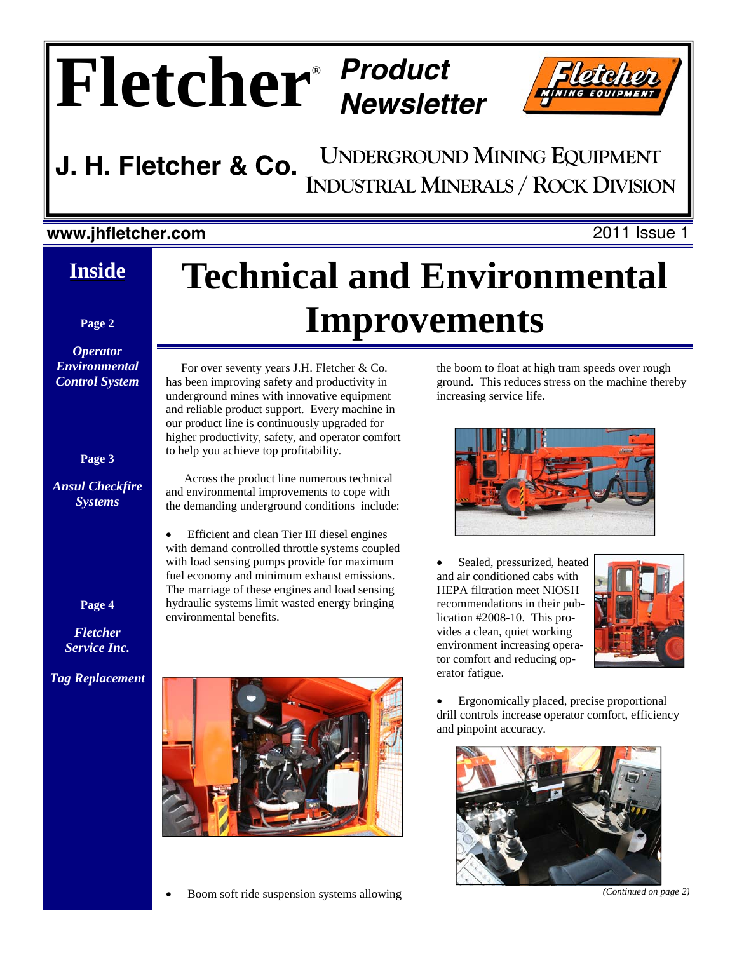# $\mathbf{Fleq}$



#### **UNDERGROUND MINING EQUIPMENT INDUSTRIAL MINERALS / ROCK DIVISION J. H. Fletcher & Co.**

#### **www.jhfletcher.com** 2011 Issue 1

#### **Inside**

**Page 2** 

*Operator Environmental Control System* 

**Page 3** 

*Ansul Checkfire Systems* 

# **Technical and Environmental Improvements**

 For over seventy years J.H. Fletcher & Co. has been improving safety and productivity in underground mines with innovative equipment and reliable product support. Every machine in our product line is continuously upgraded for higher productivity, safety, and operator comfort to help you achieve top profitability.

 Across the product line numerous technical and environmental improvements to cope with the demanding underground conditions include:

• Efficient and clean Tier III diesel engines with demand controlled throttle systems coupled with load sensing pumps provide for maximum fuel economy and minimum exhaust emissions. The marriage of these engines and load sensing hydraulic systems limit wasted energy bringing environmental benefits.



• Boom soft ride suspension systems allowing

the boom to float at high tram speeds over rough ground. This reduces stress on the machine thereby increasing service life.



Sealed, pressurized, heated and air conditioned cabs with HEPA filtration meet NIOSH recommendations in their publication #2008-10. This provides a clean, quiet working environment increasing operator comfort and reducing operator fatigue.



• Ergonomically placed, precise proportional drill controls increase operator comfort, efficiency and pinpoint accuracy.



*(Continued on page 2)* 

**Page 4** 

*Fletcher Service Inc.* 

*Tag Replacement*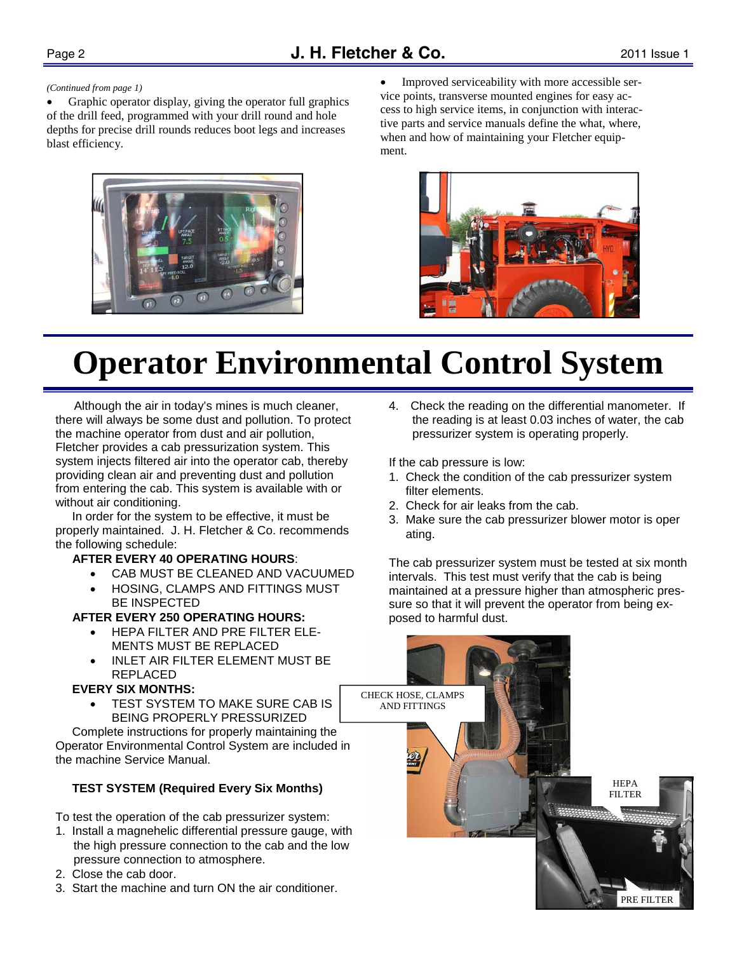#### *(Continued from page 1)*

Graphic operator display, giving the operator full graphics of the drill feed, programmed with your drill round and hole depths for precise drill rounds reduces boot legs and increases blast efficiency.



• Improved serviceability with more accessible service points, transverse mounted engines for easy access to high service items, in conjunction with interactive parts and service manuals define the what, where, when and how of maintaining your Fletcher equipment.



# **Operator Environmental Control System**

 Although the air in today's mines is much cleaner, there will always be some dust and pollution. To protect the machine operator from dust and air pollution, Fletcher provides a cab pressurization system. This system injects filtered air into the operator cab, thereby providing clean air and preventing dust and pollution from entering the cab. This system is available with or without air conditioning.

 In order for the system to be effective, it must be properly maintained. J. H. Fletcher & Co. recommends the following schedule:

#### **AFTER EVERY 40 OPERATING HOURS**:

- CAB MUST BE CLEANED AND VACUUMED
- HOSING, CLAMPS AND FITTINGS MUST BE INSPECTED

#### **AFTER EVERY 250 OPERATING HOURS:**

- HEPA FILTER AND PRE FILTER ELE-MENTS MUST BE REPLACED
- INLET AIR FILTER ELEMENT MUST BE REPLACED

#### **EVERY SIX MONTHS:**

**TEST SYSTEM TO MAKE SURE CAB IS** BEING PROPERLY PRESSURIZED

 Complete instructions for properly maintaining the Operator Environmental Control System are included in the machine Service Manual.

#### **TEST SYSTEM (Required Every Six Months)**

To test the operation of the cab pressurizer system:

- 1. Install a magnehelic differential pressure gauge, with the high pressure connection to the cab and the low pressure connection to atmosphere.
- 2. Close the cab door.
- 3. Start the machine and turn ON the air conditioner.

4. Check the reading on the differential manometer. If the reading is at least 0.03 inches of water, the cab pressurizer system is operating properly.

If the cab pressure is low:

- 1. Check the condition of the cab pressurizer system filter elements.
- 2. Check for air leaks from the cab.
- 3. Make sure the cab pressurizer blower motor is oper ating.

The cab pressurizer system must be tested at six month intervals. This test must verify that the cab is being maintained at a pressure higher than atmospheric pressure so that it will prevent the operator from being exposed to harmful dust.

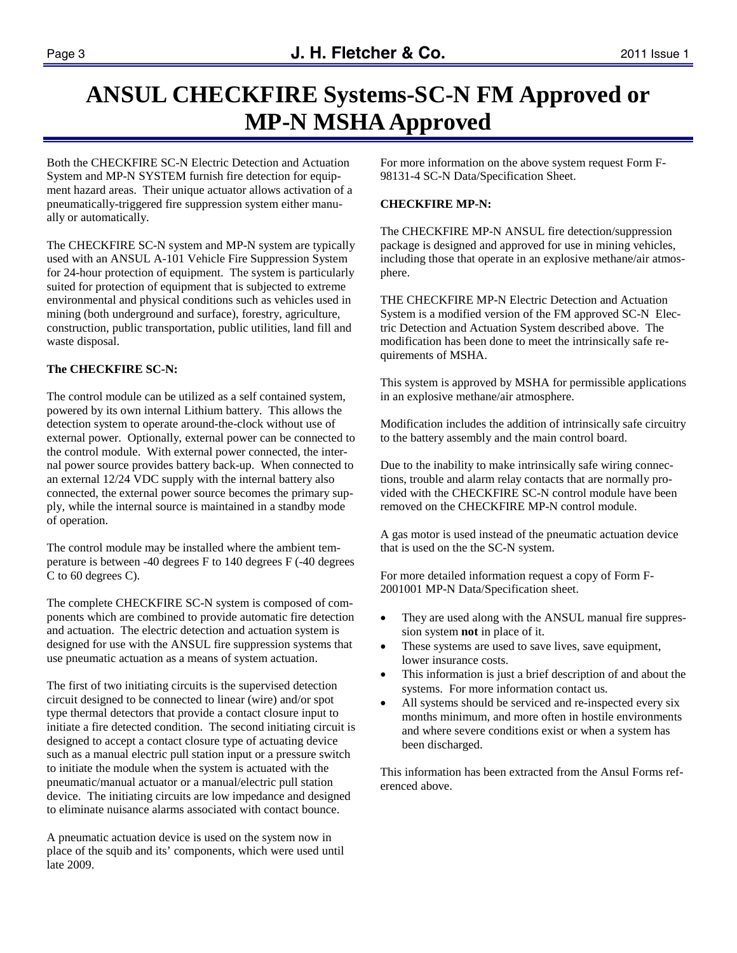### **ANSUL CHECKFIRE Systems-SC-N FM Approved or MP-N MSHA Approved**

Both the CHECKFIRE SC-N Electric Detection and Actuation System and MP-N SYSTEM furnish fire detection for equipment hazard areas. Their unique actuator allows activation of a pneumatically-triggered fire suppression system either manually or automatically.

The CHECKFIRE SC-N system and MP-N system are typically used with an ANSUL A-101 Vehicle Fire Suppression System for 24-hour protection of equipment. The system is particularly suited for protection of equipment that is subjected to extreme environmental and physical conditions such as vehicles used in mining (both underground and surface), forestry, agriculture, construction, public transportation, public utilities, land fill and waste disposal.

#### **The CHECKFIRE SC-N:**

The control module can be utilized as a self contained system, powered by its own internal Lithium battery. This allows the detection system to operate around-the-clock without use of external power. Optionally, external power can be connected to the control module. With external power connected, the internal power source provides battery back-up. When connected to an external 12/24 VDC supply with the internal battery also connected, the external power source becomes the primary supply, while the internal source is maintained in a standby mode of operation.

The control module may be installed where the ambient temperature is between -40 degrees F to 140 degrees F (-40 degrees C to 60 degrees C).

The complete CHECKFIRE SC-N system is composed of components which are combined to provide automatic fire detection and actuation. The electric detection and actuation system is designed for use with the ANSUL fire suppression systems that use pneumatic actuation as a means of system actuation.

The first of two initiating circuits is the supervised detection circuit designed to be connected to linear (wire) and/or spot type thermal detectors that provide a contact closure input to initiate a fire detected condition. The second initiating circuit is designed to accept a contact closure type of actuating device such as a manual electric pull station input or a pressure switch to initiate the module when the system is actuated with the pneumatic/manual actuator or a manual/electric pull station device. The initiating circuits are low impedance and designed to eliminate nuisance alarms associated with contact bounce.

A pneumatic actuation device is used on the system now in place of the squib and its' components, which were used until late 2009.

For more information on the above system request Form F-98131-4 SC-N Data/Specification Sheet.

#### **CHECKFIRE MP-N:**

The CHECKFIRE MP-N ANSUL fire detection/suppression package is designed and approved for use in mining vehicles, including those that operate in an explosive methane/air atmosphere.

THE CHECKFIRE MP-N Electric Detection and Actuation System is a modified version of the FM approved SC-N Electric Detection and Actuation System described above. The modification has been done to meet the intrinsically safe requirements of MSHA.

This system is approved by MSHA for permissible applications in an explosive methane/air atmosphere.

Modification includes the addition of intrinsically safe circuitry to the battery assembly and the main control board.

Due to the inability to make intrinsically safe wiring connections, trouble and alarm relay contacts that are normally provided with the CHECKFIRE SC-N control module have been removed on the CHECKFIRE MP-N control module.

A gas motor is used instead of the pneumatic actuation device that is used on the the SC-N system.

For more detailed information request a copy of Form F-2001001 MP-N Data/Specification sheet.

- They are used along with the ANSUL manual fire suppression system **not** in place of it.
- These systems are used to save lives, save equipment, lower insurance costs.
- This information is just a brief description of and about the systems. For more information contact us.
- All systems should be serviced and re-inspected every six months minimum, and more often in hostile environments and where severe conditions exist or when a system has been discharged.

This information has been extracted from the Ansul Forms referenced above.